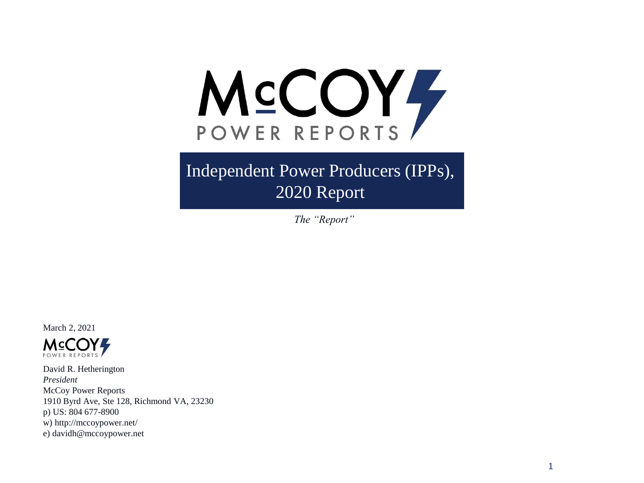

Independent Power Producers (IPPs), 2020 Report

*The "Report"*

March 2, 2021



David R. Hetherington *President* McCoy Power Reports 1910 Byrd Ave, Ste 128, Richmond VA, 23230 p) US: 804 677-8900 w) http://mccoypower.net/ e) davidh@mccoypower.net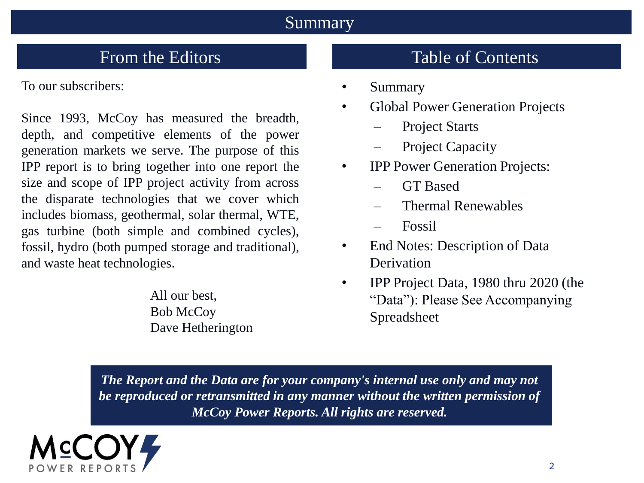## Summary

To our subscribers:

Since 1993, McCoy has measured the breadth, depth, and competitive elements of the power generation markets we serve. The purpose of this IPP report is to bring together into one report the size and scope of IPP project activity from across the disparate technologies that we cover which includes biomass, geothermal, solar thermal, WTE, gas turbine (both simple and combined cycles), fossil, hydro (both pumped storage and traditional), and waste heat technologies.

> All our best, Bob McCoy Dave Hetherington

# From the Editors Table of Contents

- Summary
- Global Power Generation Projects
	- Project Starts
	- Project Capacity
- **IPP Power Generation Projects:** 
	- GT Based
	- Thermal Renewables
	- Fossil
- End Notes: Description of Data **Derivation**
- IPP Project Data, 1980 thru 2020 (the "Data"): Please See Accompanying Spreadsheet

*The Report and the Data are for your company's internal use only and may not be reproduced or retransmitted in any manner without the written permission of McCoy Power Reports. All rights are reserved.*

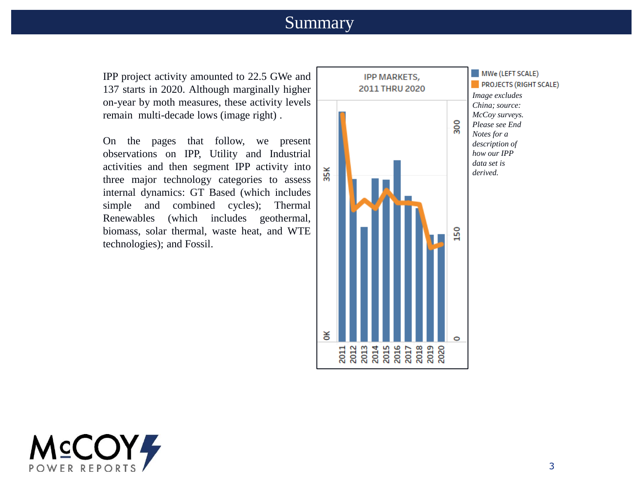### Summary

IPP project activity amounted to 22.5 GWe and 137 starts in 2020. Although marginally higher on-year by moth measures, these activity levels remain multi-decade lows (image right) .

On the pages that follow, we present observations on IPP, Utility and Industrial activities and then segment IPP activity into three major technology categories to assess internal dynamics: GT Based (which includes simple and combined cycles); Thermal Renewables (which includes geothermal, biomass, solar thermal, waste heat, and WTE technologies); and Fossil.



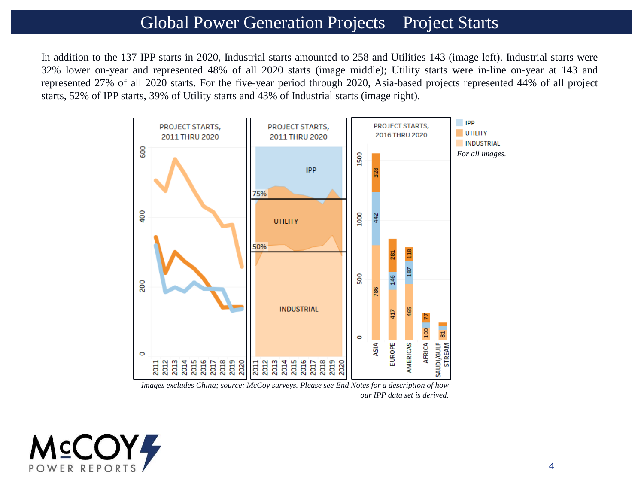# Global Power Generation Projects – Project Starts

In addition to the 137 IPP starts in 2020, Industrial starts amounted to 258 and Utilities 143 (image left). Industrial starts were 32% lower on-year and represented 48% of all 2020 starts (image middle); Utility starts were in-line on-year at 143 and represented 27% of all 2020 starts. For the five-year period through 2020, Asia-based projects represented 44% of all project starts, 52% of IPP starts, 39% of Utility starts and 43% of Industrial starts (image right).



*Images excludes China; source: McCoy surveys. Please see End Notes for a description of how our IPP data set is derived.*

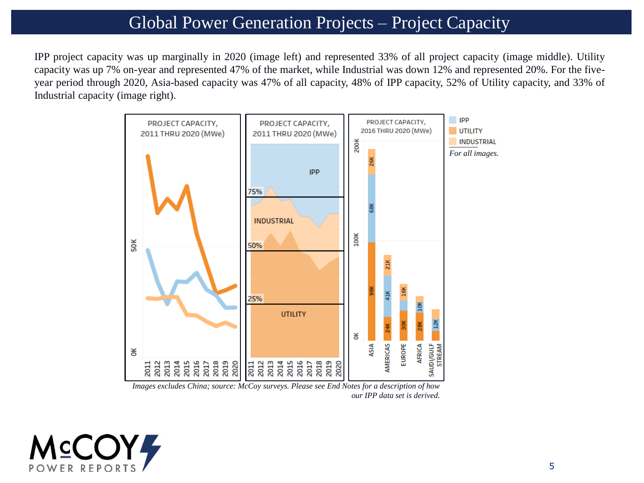# Global Power Generation Projects – Project Capacity

IPP project capacity was up marginally in 2020 (image left) and represented 33% of all project capacity (image middle). Utility capacity was up 7% on-year and represented 47% of the market, while Industrial was down 12% and represented 20%. For the fiveyear period through 2020, Asia-based capacity was 47% of all capacity, 48% of IPP capacity, 52% of Utility capacity, and 33% of Industrial capacity (image right).



*Images excludes China; source: McCoy surveys. Please see End Notes for a description of how our IPP data set is derived.*

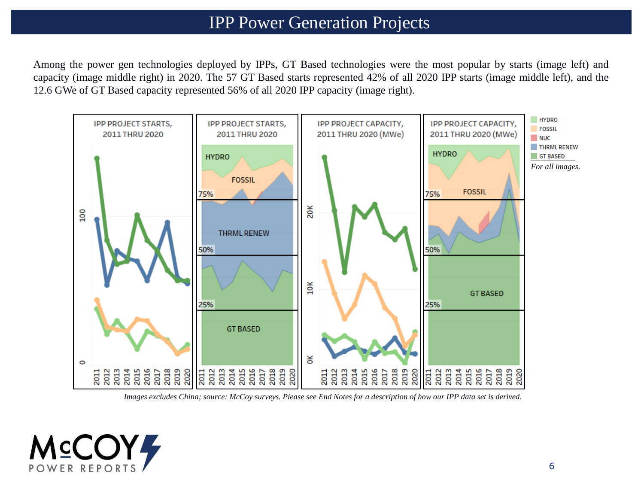# IPP Power Generation Projects

Among the power gen technologies deployed by IPPs, GT Based technologies were the most popular by starts (image left) and capacity (image middle right) in 2020. The 57 GT Based starts represented 42% of all 2020 IPP starts (image middle left), and the 12.6 GWe of GT Based capacity represented 56% of all 2020 IPP capacity (image right).



*Images excludes China; source: McCoy surveys. Please see End Notes for a description of how our IPP data set is derived.*

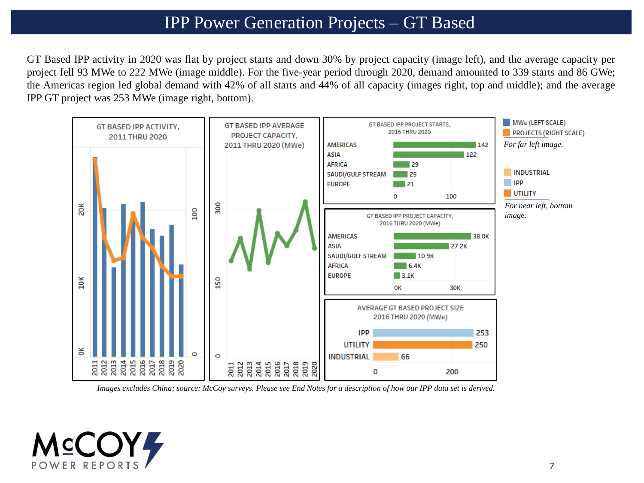# IPP Power Generation Projects – GT Based

GT Based IPP activity in 2020 was flat by project starts and down 30% by project capacity (image left), and the average capacity per project fell 93 MWe to 222 MWe (image middle). For the five-year period through 2020, demand amounted to 339 starts and 86 GWe; the Americas region led global demand with 42% of all starts and 44% of all capacity (images right, top and middle); and the average IPP GT project was 253 MWe (image right, bottom).



*Images excludes China; source: McCoy surveys. Please see End Notes for a description of how our IPP data set is derived.*

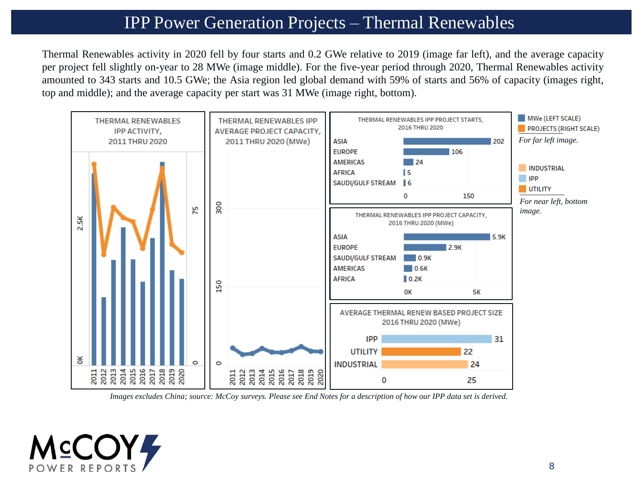# IPP Power Generation Projects – Thermal Renewables

Thermal Renewables activity in 2020 fell by four starts and 0.2 GWe relative to 2019 (image far left), and the average capacity per project fell slightly on-year to 28 MWe (image middle). For the five-year period through 2020, Thermal Renewables activity amounted to 343 starts and 10.5 GWe; the Asia region led global demand with 59% of starts and 56% of capacity (images right, top and middle); and the average capacity per start was 31 MWe (image right, bottom).



*Images excludes China; source: McCoy surveys. Please see End Notes for a description of how our IPP data set is derived.*

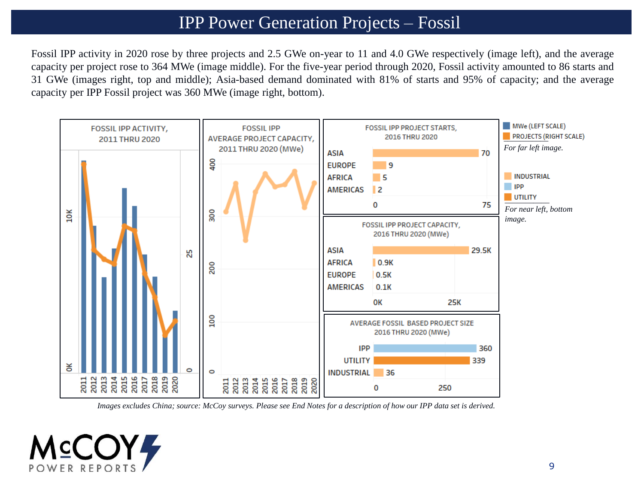# IPP Power Generation Projects – Fossil

Fossil IPP activity in 2020 rose by three projects and 2.5 GWe on-year to 11 and 4.0 GWe respectively (image left), and the average capacity per project rose to 364 MWe (image middle). For the five-year period through 2020, Fossil activity amounted to 86 starts and 31 GWe (images right, top and middle); Asia-based demand dominated with 81% of starts and 95% of capacity; and the average capacity per IPP Fossil project was 360 MWe (image right, bottom).



*Images excludes China; source: McCoy surveys. Please see End Notes for a description of how our IPP data set is derived.*